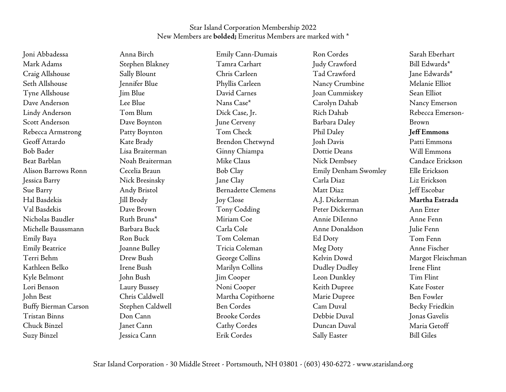Joni Abbadessa Mark Adams Craig Allshouse Seth Allshouse Tyne Allshouse Dave Anderson Lindy Anderson Scott Anderson Rebecca Armstrong Geoff Attardo Bob Bader Beat Barblan Alison Barrows Ronn Jessica Barry Sue Barry Hal Basdekis Val Basdekis Nicholas Baudler Michelle Baussmann Emily Baya Emily Beatrice Terri Behm Kathleen Belko Kyle Belmont Lori Benson John Best Buffy Bierman Carson Tristan Binns Chuck Binzel Suzy Binzel

Anna Birch Stephen Blakney Sally Blount Jennifer Blue Jim Blue Lee Blue Tom Blum Dave Boynton Patty Boynton Kate Brady Lisa Braiterman Noah Braiterman Cecelia Braun Nick Bresinsky Andy Bristol Jill Brody Dave Brown Ruth Bruns\* Barbara Buck Ron Buck Joanne Bulley Drew Bush Irene Bush John Bush Laury Bussey Chris Caldwell Stephen Caldwell Don Cann Janet Cann Jessica Cann

Emily Cann-Dumais Tamra Carhart Chris Carleen Phyllis Carleen David Carnes Nans Case\* Dick Case, Ir. June Cerveny Tom Check Brendon Chetwynd Ginny Chiampa Mike Claus Bob Clay Jane Clay Bernadette Clemens Joy Close Tony Codding Miriam Coe Carla Cole Tom Coleman Tricia Coleman George Collins Marilyn Collins Jim Cooper Noni Cooper Martha Copithorne Ben Cordes Brooke Cordes Cathy Cordes Erik Cordes

Ron Cordes Judy Crawford Tad Crawford Nancy Crumbine Joan Cummiskey Carolyn Dahab Rich Dahab Barbara Daley Phil Daley Josh Davis Dottie Deans Nick Dembsey Emily Denham Swomley Carla Diaz Matt Diaz A.J. Dickerman Peter Dickerman Annie DiIenno Anne Donaldson Ed Doty Meg Doty Kelvin Dowd Dudley Dudley Leon Dunkley Keith Dupree Marie Dupree Cam Duval Debbie Duval Duncan Duval Sally Easter

Sarah Eberhart Bill Edwards\* Jane Edwards\* Melanie Elliot Sean Elliot Nancy Emerson Rebecca Emerson-Brown Jeff Emmons Patti Emmons Will Emmons Candace Erickson Elle Erickson Liz Erickson Jeff Escobar Martha Estrada Ann Etter Anne Fenn Julie Fenn Tom Fenn Anne Fischer Margot Fleischman Irene Flint Tim Flint Kate Foster Ben Fowler Becky Friedkin Jonas Gavelis Maria Getoff Bill Giles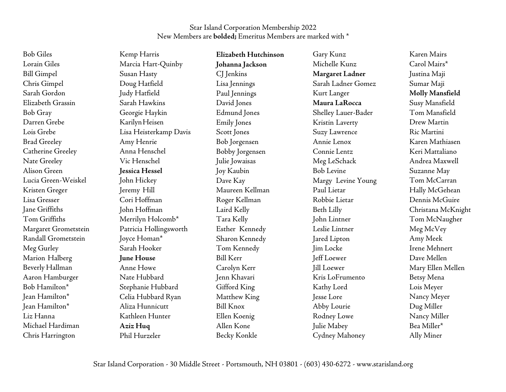| <b>Bob Giles</b>         | Kemp Harris            | Elizabeth Hutchinson | Gary Kunz           | Karen Mairs        |
|--------------------------|------------------------|----------------------|---------------------|--------------------|
| Lorain Giles             | Marcia Hart-Quinby     | Johanna Jackson      | Michelle Kunz       | Carol Mairs*       |
| <b>Bill Gimpel</b>       | Susan Hasty            | CJ Jenkins           | Margaret Ladner     | Justina Maji       |
| Chris Gimpel             | Doug Hatfield          | Lisa Jennings        | Sarah Ladner Gomez  | Sumar Maji         |
| Sarah Gordon             | Judy Hatfield          | Paul Jennings        | Kurt Langer         | Molly Mansfield    |
| Elizabeth Grassin        | Sarah Hawkins          | David Jones          | Maura LaRocca       | Susy Mansfield     |
| Bob Gray                 | Georgie Haykin         | Edmund Jones         | Shelley Lauer-Bader | Tom Mansfield      |
| Darren Grebe             | Karilyn Heisen         | <b>Emily Jones</b>   | Kristin Laverty     | Drew Martin        |
| Lois Grebe               | Lisa Heisterkamp Davis | Scott Jones          | Suzy Lawrence       | Ric Martini        |
| <b>Brad Greeley</b>      | Amy Henrie             | Bob Jorgensen        | Annie Lenox         | Karen Mathiasen    |
| <b>Catherine Greeley</b> | Anna Henschel          | Bobby Jorgensen      | Connie Lentz        | Keri Mattaliano    |
| Nate Greeley             | Vic Henschel           | Julie Jowaisas       | Meg LeSchack        | Andrea Maxwell     |
| Alison Green             | <b>Jessica Hessel</b>  | Joy Kaubin           | <b>Bob Levine</b>   | Suzanne May        |
| Lucia Green-Weiskel      | John Hickey            | Dave Kay             | Margy Levine Young  | Tom McCarran       |
| Kristen Greger           | Jeremy Hill            | Maureen Kellman      | Paul Lietar         | Hally McGehean     |
| Lisa Gresser             | Cori Hoffman           | Roger Kellman        | Robbie Lietar       | Dennis McGuire     |
| Jane Griffiths           | John Hoffman           | Laird Kelly          | Beth Lilly          | Christana McKnight |
| Tom Griffiths            | Merrilyn Holcomb*      | Tara Kelly           | John Lintner        | Tom McNaugher      |
| Margaret Grometstein     | Patricia Hollingsworth | Esther Kennedy       | Leslie Lintner      | Meg McVey          |
| Randall Grometstein      | Joyce Homan*           | Sharon Kennedy       | Jared Lipton        | Amy Meek           |
| Meg Gurley               | Sarah Hooker           | Tom Kennedy          | Jim Locke           | Irene Mehnert      |
| Marion Halberg           | June House             | <b>Bill Kerr</b>     | Jeff Loewer         | Dave Mellen        |
| Beverly Hallman          | Anne Howe              | Carolyn Kerr         | <b>Jill Loewer</b>  | Mary Ellen Mellen  |
| Aaron Hamburger          | Nate Hubbard           | Jenn Khavari         | Kris LoFrumento     | Betsy Mena         |
| Bob Hamilton*            | Stephanie Hubbard      | Gifford King         | Kathy Lord          | Lois Meyer         |
| Jean Hamilton*           | Celia Hubbard Ryan     | Matthew King         | Jesse Lore          | Nancy Meyer        |
| Jean Hamilton*           | Aliza Hunnicutt        | <b>Bill Knox</b>     | Abby Lourie         | Dug Miller         |
| Liz Hanna                | Kathleen Hunter        | Ellen Koenig         | Rodney Lowe         | Nancy Miller       |
| Michael Hardiman         | Aziz Huq               | Allen Kone           | Julie Mabey         | Bea Miller*        |

Cydney Mahoney

Ally Miner

Becky Konkle

Chris Harrington

Phil Hurzeler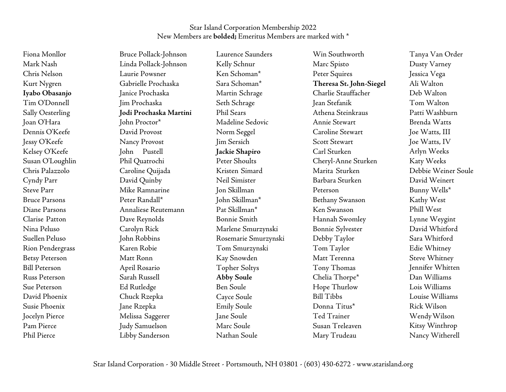Fiona Monllor Mark Nash Chris Nelson Kurt Nygren Iyabo Obasanjo Tim O'Donnell Sally Oesterling Joan O'Hara Dennis O'Keefe Jessy O'Keefe Kelsey O'Keefe Susan O'Loughlin Chris Palazzolo Cyndy Parr Steve Parr Bruce Parsons Diane Parsons Clarise Patton Nina Peluso Suellen Peluso Rion Pendergrass Betsy Peterson Bill Peterson Russ Peterson Sue Peterson David Phoenix Susie Phoenix Jocelyn Pierce Pam Pierce Phil Pierce

Bruce Pollack-Johnson Linda Pollack-Johnson Laurie Powsner Gabrielle Prochaska Janice Prochaska Jim Prochaska Jodi Prochaska Martini John Proctor\* David Provost Nancy Provost John Pustell Phil Quatrochi Caroline Quijada David Quinby Mike Ramnarine Peter Randall\* Annaliese Reutemann Dave Reynolds Carolyn Rick John Robbins Karen Robie Matt Ronn April Rosario Sarah Russell Ed Rutledge Chuck Rzepka Jane Rzepka Melissa Saggerer Judy Samuelson Libby Sanderson

Laurence Saunders Kelly Schnur Ken Schoman\* Sara Schoman\* Martin Schrage Seth Schrage Phil Sears Madeline Sedovic Norm Seggel Jim Sersich Jackie Shapiro Peter Shoults Kristen Simard Neil Simister Jon Skillman John Skillman\* Pat Skillman\* Bonnie Smith Marlene Smurzynski Rosemarie Smurzynski Tom Smurzynski Kay Snowden Topher Soltys Abby Soule Ben Soule Cayce Soule Emily Soule Jane Soule Marc Soule Nathan Soule

Win Southworth Marc Spisto Peter Squires Theresa St. John-Siegel Charlie Stauffacher Jean Stefanik Athena Steinkraus Annie Stewart Caroline Stewart Scott Stewart Carl Sturken Cheryl-Anne Sturken Marita Sturken Barbara Sturken Peterson Bethany Swanson Ken Swanson Hannah Swomley Bonnie Sylvester Debby Taylor Tom Taylor Matt Terenna Tony Thomas Chelia Thorpe\* Hope Thurlow Bill Tibbs Donna Titus\* Ted Trainer Susan Treleaven Mary Trudeau

Tanya Van Order Dusty Varney Jessica Vega Ali Walton Deb Walton Tom Walton Patti Washburn Brenda Watts Joe Watts, III Joe Watts, IV Arlyn Weeks Katy Weeks Debbie Weiner Soule David Weinert Bunny Wells\* Kathy West Phill West Lynne Weygint David Whitford Sara Whitford Edie Whitney Steve Whitney Jennifer Whitten Dan Williams Lois Williams Louise Williams Rick Wilson Wendy Wilson Kitsy Winthrop Nancy Witherell